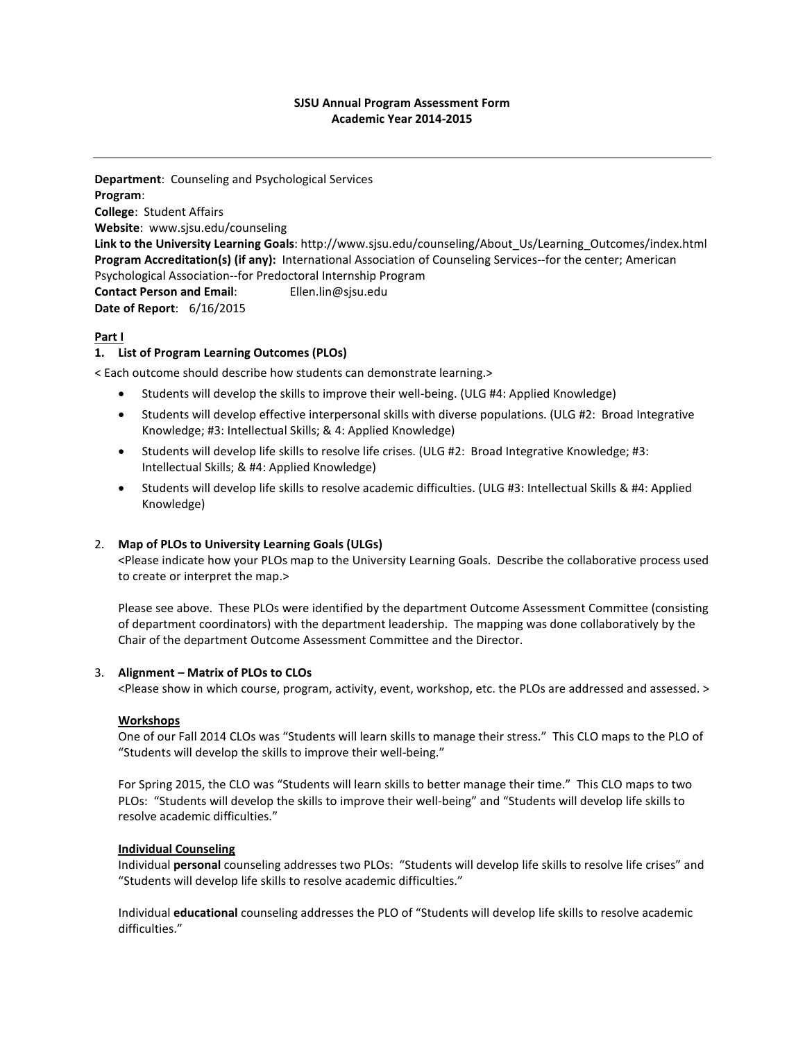## **SJSU Annual Program Assessment Form Academic Year 2014-2015**

**Department**: Counseling and Psychological Services **Program**: **College**: Student Affairs **Website**: www.sjsu.edu/counseling **Link to the University Learning Goals**: http://www.sjsu.edu/counseling/About\_Us/Learning\_Outcomes/index.html **Program Accreditation(s) (if any):** International Association of Counseling Services--for the center; American Psychological Association--for Predoctoral Internship Program **Contact Person and Email**: Ellen.lin@sjsu.edu **Date of Report**: 6/16/2015

## **Part I**

## **1. List of Program Learning Outcomes (PLOs)**

< Each outcome should describe how students can demonstrate learning.>

- Students will develop the skills to improve their well-being. (ULG #4: Applied Knowledge)
- Students will develop effective interpersonal skills with diverse populations. (ULG #2: Broad Integrative Knowledge; #3: Intellectual Skills; & 4: Applied Knowledge)
- Students will develop life skills to resolve life crises. (ULG #2: Broad Integrative Knowledge; #3: Intellectual Skills; & #4: Applied Knowledge)
- Students will develop life skills to resolve academic difficulties. (ULG #3: Intellectual Skills & #4: Applied Knowledge)

### 2. **Map of PLOs to University Learning Goals (ULGs)**

<Please indicate how your PLOs map to the University Learning Goals. Describe the collaborative process used to create or interpret the map.>

Please see above. These PLOs were identified by the department Outcome Assessment Committee (consisting of department coordinators) with the department leadership. The mapping was done collaboratively by the Chair of the department Outcome Assessment Committee and the Director.

### 3. **Alignment – Matrix of PLOs to CLOs**

<Please show in which course, program, activity, event, workshop, etc. the PLOs are addressed and assessed. >

### **Workshops**

One of our Fall 2014 CLOs was "Students will learn skills to manage their stress." This CLO maps to the PLO of "Students will develop the skills to improve their well-being."

For Spring 2015, the CLO was "Students will learn skills to better manage their time." This CLO maps to two PLOs: "Students will develop the skills to improve their well-being" and "Students will develop life skills to resolve academic difficulties."

### **Individual Counseling**

Individual **personal** counseling addresses two PLOs: "Students will develop life skills to resolve life crises" and "Students will develop life skills to resolve academic difficulties."

Individual **educational** counseling addresses the PLO of "Students will develop life skills to resolve academic difficulties."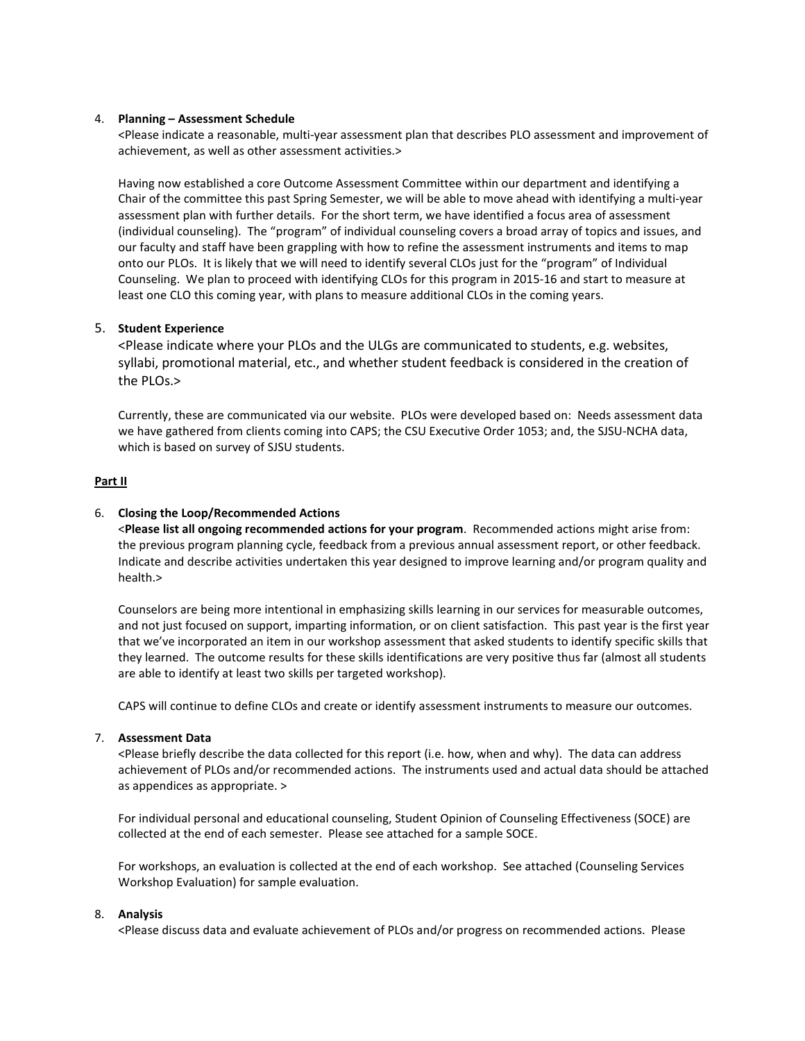### 4. **Planning – Assessment Schedule**

<Please indicate a reasonable, multi-year assessment plan that describes PLO assessment and improvement of achievement, as well as other assessment activities.>

Having now established a core Outcome Assessment Committee within our department and identifying a Chair of the committee this past Spring Semester, we will be able to move ahead with identifying a multi-year assessment plan with further details. For the short term, we have identified a focus area of assessment (individual counseling). The "program" of individual counseling covers a broad array of topics and issues, and our faculty and staff have been grappling with how to refine the assessment instruments and items to map onto our PLOs. It is likely that we will need to identify several CLOs just for the "program" of Individual Counseling. We plan to proceed with identifying CLOs for this program in 2015-16 and start to measure at least one CLO this coming year, with plans to measure additional CLOs in the coming years.

## 5. **Student Experience**

<Please indicate where your PLOs and the ULGs are communicated to students, e.g. websites, syllabi, promotional material, etc., and whether student feedback is considered in the creation of the PLOs.>

Currently, these are communicated via our website. PLOs were developed based on: Needs assessment data we have gathered from clients coming into CAPS; the CSU Executive Order 1053; and, the SJSU-NCHA data, which is based on survey of SJSU students.

## **Part II**

## 6. **Closing the Loop/Recommended Actions**

<**Please list all ongoing recommended actions for your program**. Recommended actions might arise from: the previous program planning cycle, feedback from a previous annual assessment report, or other feedback. Indicate and describe activities undertaken this year designed to improve learning and/or program quality and health.>

Counselors are being more intentional in emphasizing skills learning in our services for measurable outcomes, and not just focused on support, imparting information, or on client satisfaction. This past year is the first year that we've incorporated an item in our workshop assessment that asked students to identify specific skills that they learned. The outcome results for these skills identifications are very positive thus far (almost all students are able to identify at least two skills per targeted workshop).

CAPS will continue to define CLOs and create or identify assessment instruments to measure our outcomes.

### 7. **Assessment Data**

<Please briefly describe the data collected for this report (i.e. how, when and why). The data can address achievement of PLOs and/or recommended actions. The instruments used and actual data should be attached as appendices as appropriate. >

For individual personal and educational counseling, Student Opinion of Counseling Effectiveness (SOCE) are collected at the end of each semester. Please see attached for a sample SOCE.

For workshops, an evaluation is collected at the end of each workshop. See attached (Counseling Services Workshop Evaluation) for sample evaluation.

### 8. **Analysis**

<Please discuss data and evaluate achievement of PLOs and/or progress on recommended actions. Please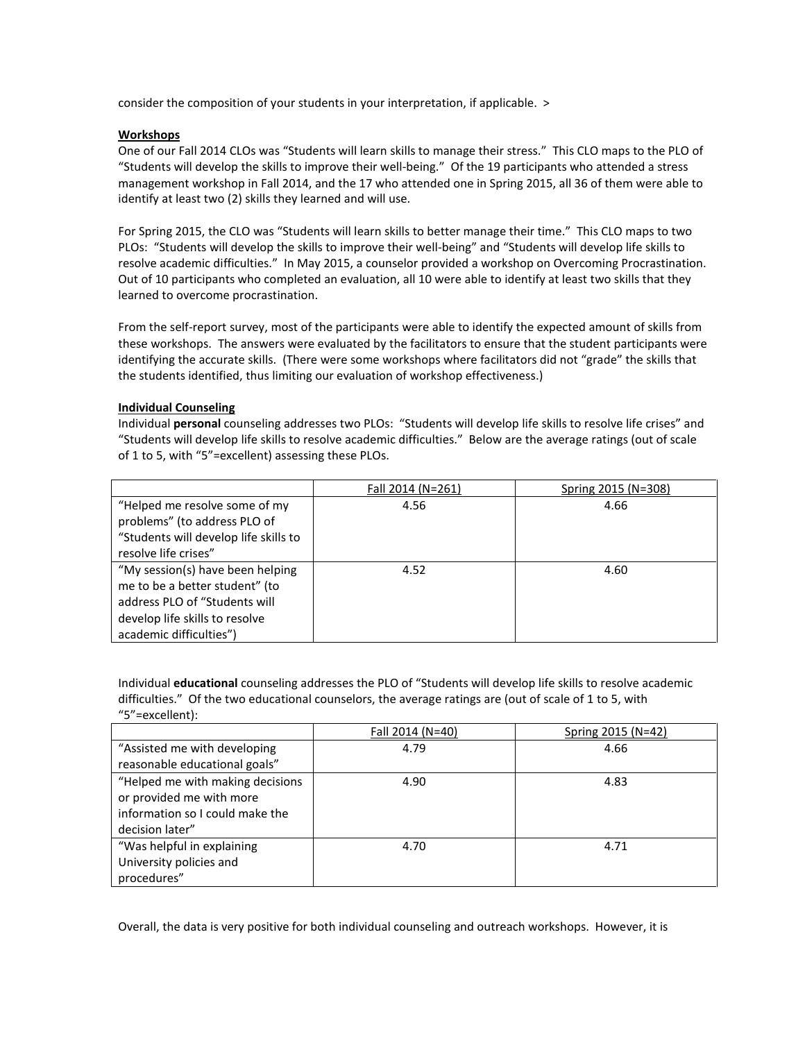consider the composition of your students in your interpretation, if applicable. >

## **Workshops**

One of our Fall 2014 CLOs was "Students will learn skills to manage their stress." This CLO maps to the PLO of "Students will develop the skills to improve their well-being." Of the 19 participants who attended a stress management workshop in Fall 2014, and the 17 who attended one in Spring 2015, all 36 of them were able to identify at least two (2) skills they learned and will use.

For Spring 2015, the CLO was "Students will learn skills to better manage their time." This CLO maps to two PLOs: "Students will develop the skills to improve their well-being" and "Students will develop life skills to resolve academic difficulties." In May 2015, a counselor provided a workshop on Overcoming Procrastination. Out of 10 participants who completed an evaluation, all 10 were able to identify at least two skills that they learned to overcome procrastination.

From the self-report survey, most of the participants were able to identify the expected amount of skills from these workshops. The answers were evaluated by the facilitators to ensure that the student participants were identifying the accurate skills. (There were some workshops where facilitators did not "grade" the skills that the students identified, thus limiting our evaluation of workshop effectiveness.)

## **Individual Counseling**

Individual **personal** counseling addresses two PLOs: "Students will develop life skills to resolve life crises" and "Students will develop life skills to resolve academic difficulties." Below are the average ratings (out of scale of 1 to 5, with "5"=excellent) assessing these PLOs.

|                                       | Fall 2014 (N=261) | Spring 2015 (N=308) |
|---------------------------------------|-------------------|---------------------|
| "Helped me resolve some of my         | 4.56              | 4.66                |
| problems" (to address PLO of          |                   |                     |
| "Students will develop life skills to |                   |                     |
| resolve life crises"                  |                   |                     |
| "My session(s) have been helping      | 4.52              | 4.60                |
| me to be a better student" (to        |                   |                     |
| address PLO of "Students will         |                   |                     |
| develop life skills to resolve        |                   |                     |
| academic difficulties")               |                   |                     |

Individual **educational** counseling addresses the PLO of "Students will develop life skills to resolve academic difficulties." Of the two educational counselors, the average ratings are (out of scale of 1 to 5, with "5"=excellent):

|                                  | Fall 2014 (N=40) | Spring 2015 (N=42) |
|----------------------------------|------------------|--------------------|
| "Assisted me with developing     | 4.79             | 4.66               |
| reasonable educational goals"    |                  |                    |
| "Helped me with making decisions | 4.90             | 4.83               |
| or provided me with more         |                  |                    |
| information so I could make the  |                  |                    |
| decision later"                  |                  |                    |
| "Was helpful in explaining       | 4.70             | 4.71               |
| University policies and          |                  |                    |
| procedures"                      |                  |                    |

Overall, the data is very positive for both individual counseling and outreach workshops. However, it is